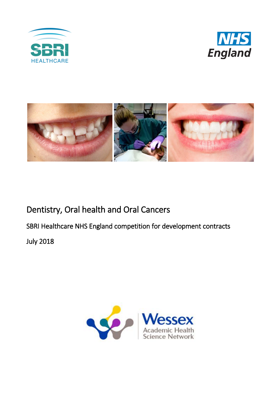





# Dentistry, Oral health and Oral Cancers

SBRI Healthcare NHS England competition for development contracts

July 2018

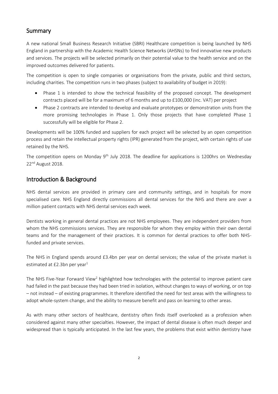## Summary

A new national Small Business Research Initiative (SBRI) Healthcare competition is being launched by NHS England in partnership with the Academic Health Science Networks (AHSNs) to find innovative new products and services. The projects will be selected primarily on their potential value to the health service and on the improved outcomes delivered for patients.

The competition is open to single companies or organisations from the private, public and third sectors, including charities. The competition runs in two phases (subject to availability of budget in 2019):

- Phase 1 is intended to show the technical feasibility of the proposed concept. The development contracts placed will be for a maximum of 6 months and up to £100,000 (inc. VAT) per project
- Phase 2 contracts are intended to develop and evaluate prototypes or demonstration units from the more promising technologies in Phase 1. Only those projects that have completed Phase 1 successfully will be eligible for Phase 2.

Developments will be 100% funded and suppliers for each project will be selected by an open competition process and retain the intellectual property rights (IPR) generated from the project, with certain rights of use retained by the NHS.

The competition opens on Monday 9<sup>th</sup> July 2018. The deadline for applications is 1200hrs on Wednesday 22<sup>nd</sup> August 2018.

## Introduction & Background

NHS dental services are provided in primary care and community settings, and in hospitals for more specialised care. NHS England directly commissions all dental services for the NHS and there are over a million patient contacts with NHS dental services each week.

Dentists working in general dental practices are not NHS employees. They are independent providers from whom the NHS commissions services. They are responsible for whom they employ within their own dental teams and for the management of their practices. It is common for dental practices to offer both NHSfunded and private services.

The NHS in England spends around £3.4bn per year on dental services; the value of the private market is estimated at  $£2.3$ bn per year<sup>1</sup>

The NHS Five-Year Forward View<sup>2</sup> highlighted how technologies with the potential to improve patient care had failed in the past because they had been tried in isolation, without changes to ways of working, or on top – not instead – of existing programmes. It therefore identified the need for test areas with the willingness to adopt whole-system change, and the ability to measure benefit and pass on learning to other areas.

As with many other sectors of healthcare, dentistry often finds itself overlooked as a profession when considered against many other specialties. However, the impact of dental disease is often much deeper and widespread than is typically anticipated. In the last few years, the problems that exist within dentistry have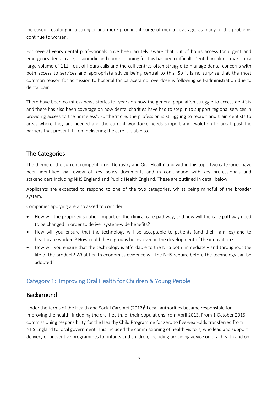increased, resulting in a stronger and more prominent surge of media coverage, as many of the problems continue to worsen.

For several years dental professionals have been acutely aware that out of hours access for urgent and emergency dental care, is sporadic and commissioning for this has been difficult. Dental problems make up a large volume of 111 - out of hours calls and the call centres often struggle to manage dental concerns with both access to services and appropriate advice being central to this. So it is no surprise that the most common reason for admission to hospital for paracetamol overdose is following self-administration due to dental pain. $3$ 

There have been countless news stories for years on how the general population struggle to access dentists and there has also been coverage on how dental charities have had to step in to support regional services in providing access to the homeless<sup>4</sup>. Furthermore, the profession is struggling to recruit and train dentists to areas where they are needed and the current workforce needs support and evolution to break past the barriers that prevent it from delivering the care it is able to.

## The Categories

The theme of the current competition is 'Dentistry and Oral Health' and within this topic two categories have been identified via review of key policy documents and in conjunction with key professionals and stakeholders including NHS England and Public Health England. These are outlined in detail below.

Applicants are expected to respond to one of the two categories, whilst being mindful of the broader system.

Companies applying are also asked to consider:

- How will the proposed solution impact on the clinical care pathway, and how will the care pathway need to be changed in order to deliver system-wide benefits?
- How will you ensure that the technology will be acceptable to patients (and their families) and to healthcare workers? How could these groups be involved in the development of the innovation?
- How will you ensure that the technology is affordable to the NHS both immediately and throughout the life of the product? What health economics evidence will the NHS require before the technology can be adopted?

## Category 1: Improving Oral Health for Children & Young People

## **Background**

Under the terms of the Health and Social Care Act (2012)<sup>5</sup> Local authorities became responsible for improving the health, including the oral health, of their populations from April 2013. From 1 October 2015 commissioning responsibility for the Healthy Child Programme for zero to five-year-olds transferred from NHS England to local government. This included the commissioning of health visitors, who lead and support delivery of preventive programmes for infants and children, including providing advice on oral health and on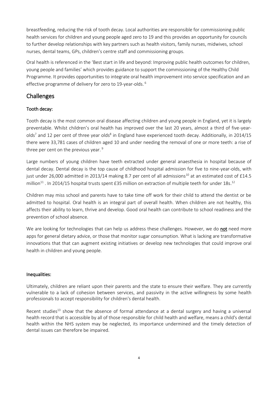breastfeeding, reducing the risk of tooth decay. Local authorities are responsible for commissioning public health services for children and young people aged zero to 19 and this provides an opportunity for councils to further develop relationships with key partners such as health visitors, family nurses, midwives, school nurses, dental teams, GPs, children's centre staff and commissioning groups.

Oral health is referenced in the 'Best start in life and beyond: Improving public health outcomes for children, young people and families' which provides guidance to support the commissioning of the Healthy Child Programme. It provides opportunities to integrate oral health improvement into service specification and an effective programme of delivery for zero to 19-year-olds. <sup>6</sup>

## **Challenges**

## Tooth decay:

Tooth decay is the most common oral disease affecting children and young people in England, yet it is largely preventable. Whilst children's oral health has improved over the last 20 years, almost a third of five-yearolds<sup>7</sup> and 12 per cent of three year olds<sup>8</sup> in England have experienced tooth decay. Additionally, in 2014/15 there were 33,781 cases of children aged 10 and under needing the removal of one or more teeth: a rise of three per cent on the previous year.<sup>9</sup>

Large numbers of young children have teeth extracted under general anaesthesia in hospital because of dental decay. Dental decay is the top cause of childhood hospital admission for five to nine-year-olds, with just under 26,000 admitted in 2013/14 making 8.7 per cent of all admissions<sup>10</sup> at an estimated cost of £14.5 million<sup>11</sup>. In 2014/15 hospital trusts spent £35 million on extraction of multiple teeth for under 18s.<sup>12</sup>

Children may miss school and parents have to take time off work for their child to attend the dentist or be admitted to hospital. Oral health is an integral part of overall health. When children are not healthy, this affects their ability to learn, thrive and develop. Good oral health can contribute to school readiness and the prevention of school absence.

We are looking for technologies that can help us address these challenges. However, we do not need more apps for general dietary advice, or those that monitor sugar consumption. What is lacking are transformative innovations that that can augment existing initiatives or develop new technologies that could improve oral health in children and young people.

#### Inequalities:

Ultimately, children are reliant upon their parents and the state to ensure their welfare. They are currently vulnerable to a lack of cohesion between services, and passivity in the active willingness by some health professionals to accept responsibility for children's dental health.

Recent studies<sup>13</sup> show that the absence of formal attendance at a dental surgery and having a universal health record that is accessible by all of those responsible for child health and welfare, means a child's dental health within the NHS system may be neglected, its importance undermined and the timely detection of dental issues can therefore be impaired.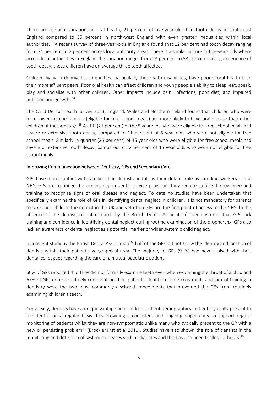There are regional variations in oral health, 21 percent of five-year-olds had tooth decay in south-east England compared to 35 percent in north-west England with even greater inequalities within local authorities. <sup>7</sup> A recent survey of three-year-olds in England found that 12 per cent had tooth decay ranging from 34 per cent to 2 per cent across local authority areas. There is a similar picture in five-year-olds where across local authorities in England the variation ranges from 13 per cent to 53 per cent having experience of tooth decay, these children have on average three teeth affected.

Children living in deprived communities, particularly those with disabilities, have poorer oral health than their more affluent peers. Poor oral health can affect children and young people's ability to sleep, eat, speak, play and socialise with other children. Other impacts include pain, infections, poor diet, and impaired nutrition and growth. <sup>14</sup>

The Child Dental Health Survey 2013, England, Wales and Northern Ireland found that children who were from lower income families (eligible for free school meals) are more likely to have oral disease than other children of the same age.<sup>15</sup> A fifth (21 per cent) of the 5 year olds who were eligible for free school meals had severe or extensive tooth decay, compared to 11 per cent of 5 year olds who were not eligible for free school meals. Similarly, a quarter (26 per cent) of 15 year olds who were eligible for free school meals had severe or extensive tooth decay, compared to 12 per cent of 15 year olds who were not eligible for free school meals.

#### Improving Communication between Dentistry, GPs and Secondary Care

GPs have more contact with families than dentists and if, as their default role as frontline workers of the NHS, GPs are to bridge the current gap in dental service provision, they require sufficient knowledge and training to recognise signs of oral disease and neglect. To date no studies have been undertaken that specifically examine the role of GPs in identifying dental neglect in children. It is not mandatory for parents to take their child to the dentist in the UK and yet often GPs are the first point of access to the NHS. In the absence of the dentist, recent research by the British Dental Association<sup>16</sup> demonstrates that GPs lack training and confidence in identifying dental neglect during routine examination of the oropharynx. GPs also lack an awareness of dental neglect as a potential marker of wider systemic child neglect.

In a recent study by the British Dental Association<sup>16</sup>, half of the GPs did not know the identity and location of dentists within their patients' geographical area. The majority of GPs (91%) had never liaised with their dental colleagues regarding the care of a mutual paediatric patient

60% of GPs reported that they did not formally examine teeth even when examining the throat of a child and 67% of GPs do not routinely comment on their patients' dentition. Time constraints and lack of training in dentistry were the two most commonly disclosed impediments that prevented the GPs from routinely examining children's teeth.<sup>16</sup>

Conversely, dentists have a unique vantage point of local patient demographics: patients typically present to the dentist on a regular basis thus providing a consistent and ongoing opportunity to support regular monitoring of patients whilst they are non-symptomatic unlike many who typically present to the GP with a new or persisting problem<sup>17</sup> (Brocklehurst et al 2011). Studies have also shown the role of dentists in the monitoring and detection of systemic diseases such as diabetes and this has also been trialled in the US.<sup>18</sup>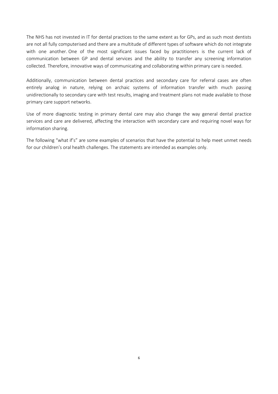The NHS has not invested in IT for dental practices to the same extent as for GPs, and as such most dentists are not all fully computerised and there are a multitude of different types of software which do not integrate with one another. One of the most significant issues faced by practitioners is the current lack of communication between GP and dental services and the ability to transfer any screening information collected. Therefore, innovative ways of communicating and collaborating within primary care is needed.

Additionally, communication between dental practices and secondary care for referral cases are often entirely analog in nature, relying on archaic systems of information transfer with much passing unidirectionally to secondary care with test results, imaging and treatment plans not made available to those primary care support networks.

Use of more diagnostic testing in primary dental care may also change the way general dental practice services and care are delivered, affecting the interaction with secondary care and requiring novel ways for information sharing.

The following "what if's" are some examples of scenarios that have the potential to help meet unmet needs for our children's oral health challenges. The statements are intended as examples only.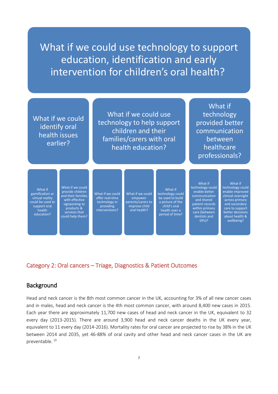What if we could use technology to support education, identification and early intervention for children's oral health?

What if we could identify oral health issues earlier?

What if we could use technology to help support children and their families/carers with oral health education?

What if technology provided better communication between healthcare professionals?

What if gamification or virtual reality could be used to support oral health education?

What if we could provide children and their families with effective signposting to products & services that could help them?

What if we could offer real-time technology in providing interventions?

What if we could empower parents/carers to improve child oral health?

What if technology could be used to build a picture of the child's oral health over a period of time?

What if technology could enable better communication and shared patient records within primary care (between dentists and GPs)?

What if technology could enable improved clinical oversight across primary and secondary care to support better decisions about health & wellbeing?

Category 2: Oral cancers – Triage, Diagnostics & Patient Outcomes

## **Background**

Head and neck cancer is the 8th most common cancer in the UK, accounting for 3% of all new cancer cases and in males, head and neck cancer is the 4th most common cancer, with around 8,400 new cases in 2015. Each year there are approximately 11,700 new cases of head and neck cancer in the UK, equivalent to 32 every day (2013-2015). There are around 3,900 head and neck cancer deaths in the UK every year, equivalent to 11 every day (2014-2016). Mortality rates for oral cancer are projected to rise by 38% in the UK between 2014 and 2035, yet 46-88% of oral cavity and other head and neck cancer cases in the UK are preventable. 19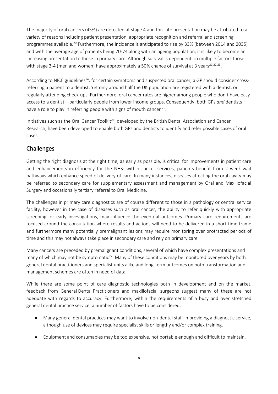The majority of oral cancers (45%) are detected at stage 4 and this late presentation may be attributed to a variety of reasons including patient presentation, appropriate recognition and referral and screening programmes available.<sup>20</sup> Furthermore, the incidence is anticipated to rise by 33% (between 2014 and 2035) and with the average age of patients being 70-74 along with an ageing population, it is likely to become an increasing presentation to those in primary care. Although survival is dependent on multiple factors those with stage 3-4 (men and women) have approximately a 50% chance of survival at 3 years<sup>21,22,23</sup>.

According to NICE guidelines<sup>24</sup>, for certain symptoms and suspected oral cancer, a GP should consider crossreferring a patient to a dentist. Yet only around half the UK population are registered with a dentist, or regularly attending check-ups. Furthermore, oral cancer rates are higher among people who don't have easy access to a dentist – particularly people from lower income groups. Consequently, both GPs *and* dentists have a role to play in referring people with signs of mouth cancer <sup>25</sup>.

Initiatives such as the Oral Cancer Toolkit<sup>26</sup>, developed by the British Dental Association and Cancer Research, have been developed to enable both GPs and dentists to identify and refer possible cases of oral cases.

# **Challenges**

Getting the right diagnosis at the right time, as early as possible, is critical for improvements in patient care and enhancements in efficiency for the NHS: within cancer services, patients benefit from 2 week-wait pathways which enhance speed of delivery of care. In many instances, diseases affecting the oral cavity may be referred to secondary care for supplementary assessment and management by Oral and Maxillofacial Surgery and occasionally tertiary referral to Oral Medicine.

The challenges in primary care diagnostics are of course different to those in a pathology or central service facility, however in the case of diseases such as oral cancer, the ability to refer quickly with appropriate screening, or early investigations, may influence the eventual outcomes. Primary care requirements are focused around the consultation where results and actions will need to be delivered in a short time frame and furthermore many potentially premalignant lesions may require monitoring over protracted periods of time and this may not always take place in secondary care and rely on primary care.

Many cancers are preceded by premalignant conditions, several of which have complex presentations and many of which may not be symptomatic<sup>27</sup>. Many of these conditions may be monitored over years by both general dental practitioners and specialist units alike and long-term outcomes on both transformation and management schemes are often in need of data.

While there are some point of care diagnostic technologies both in development and on the market, feedback from General Dental Practitioners and maxillofacial surgeons suggest many of these are not adequate with regards to accuracy. Furthermore, within the requirements of a busy and over stretched general dental practice service, a number of factors have to be considered:

- Many general dental practices may want to involve non-dental staff in providing a diagnostic service, although use of devices may require specialist skills or lengthy and/or complex training.
- Equipment and consumables may be too expensive, not portable enough and difficult to maintain.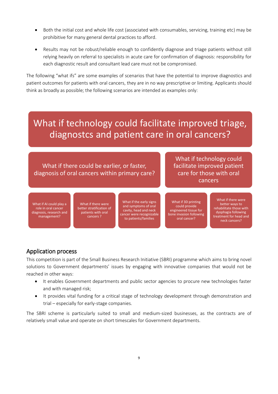- Both the initial cost and whole life cost (associated with consumables, servicing, training etc) may be prohibitive for many general dental practices to afford.
- Results may not be robust/reliable enough to confidently diagnose and triage patients without still relying heavily on referral to specialists in acute care for confirmation of diagnosis: responsibility for each diagnostic result and consultant lead care must not be compromised.

The following "what ifs" are some examples of scenarios that have the potential to improve diagnostics and patient outcomes for patients with oral cancers, they are in no way prescriptive or limiting. Applicants should think as broadly as possible; the following scenarios are intended as examples only:

# What if technology could facilitate improved triage, diagnostcs and patient care in oral cancers?

What if there could be earlier, or faster, diagnosis of oral cancers within primary care?

What if technology could facilitate improved patient care for those with oral cancers

What if AI could play a role in oral cancer diagnosis, research and management?

What if there were better stratification of patients with oral cancers ?

What if the early signs and symptoms of oral cavity, head and neck cancer were recognizable to patients/families

What if 3D printing could provide engineered tissue for bone invasion following oral cancer?

What if there were better ways to rehabilitate those with dysphagia following treatment for head and neck cancers?

# Application process

This competition is part of the Small Business Research Initiative (SBRI) programme which aims to bring novel solutions to Government departments' issues by engaging with innovative companies that would not be reached in other ways:

- It enables Government departments and public sector agencies to procure new technologies faster and with managed risk;
- It provides vital funding for a critical stage of technology development through demonstration and trial – especially for early-stage companies.

The SBRI scheme is particularly suited to small and medium-sized businesses, as the contracts are of relatively small value and operate on short timescales for Government departments.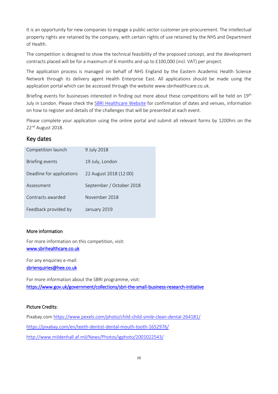It is an opportunity for new companies to engage a public sector customer pre-procurement. The intellectual property rights are retained by the company, with certain rights of use retained by the NHS and Department of Health.

The competition is designed to show the technical feasibility of the proposed concept, and the development contracts placed will be for a maximum of 6 months and up to £100,000 (incl. VAT) per project.

The application process is managed on behalf of NHS England by the Eastern Academic Health Science Network through its delivery agent Health Enterprise East. All applications should be made using the application portal which can be accessed through the websit[e www.sbrihealthcare.co.uk.](http://www.sbrihealthcare.co.uk/)

Briefing events for businesses interested in finding out more about these competitions will be held on 19<sup>th</sup> July in London. Please check the [SBRI Healthcare Website](http://sbrihealthcare.co.uk/) for confirmation of dates and venues, information on how to register and details of the challenges that will be presented at each event.

Please complete your application using the online portal and submit all relevant forms by 1200hrs on the 22<sup>nd</sup> August 2018.

## Key dates

| Competition launch        | 9 July 2018              |
|---------------------------|--------------------------|
| Briefing events           | 19 July, London          |
| Deadline for applications | 22 August 2018 (12:00)   |
| Assessment                | September / October 2018 |
| Contracts awarded         | November 2018            |
| Feedback provided by      | January 2019             |

## More information

For more information on this competition, visit: [www.sbrihealthcare.co.uk](http://www.sbrihealthcare.co.uk/) 

For any enquiries e-mail: [sbrienquiries@hee.co.uk](mailto:sbrienquiries@hee.co.uk) 

For more information about the SBRI programme, visit: <https://www.gov.uk/government/collections/sbri-the-small-business-research-initiative>

## Picture Credits:

Pixabay.co[m https://www.pexels.com/photo/child-child-smile-clean-dental-264181/](https://www.pexels.com/photo/child-child-smile-clean-dental-264181/) <https://pixabay.com/en/teeth-dentist-dental-mouth-tooth-1652976/> <http://www.mildenhall.af.mil/News/Photos/igphoto/2001022543/>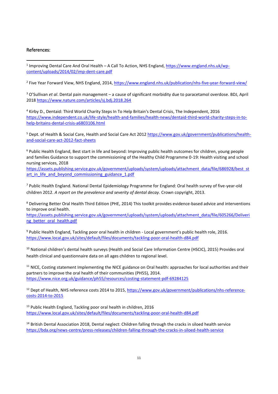#### References:

1 <sup>1</sup> Improving Dental Care And Oral Health – A Call To Action, NHS England[, https://www.england.nhs.uk/wp](https://www.england.nhs.uk/wp-content/uploads/2014/02/imp-dent-care.pdf)[content/uploads/2014/02/imp-dent-care.pdf](https://www.england.nhs.uk/wp-content/uploads/2014/02/imp-dent-care.pdf)

<sup>2</sup> Five Year Forward View, NHS England, 2014,<https://www.england.nhs.uk/publication/nhs-five-year-forward-view/>

<sup>3</sup> O'Sullivan *et al*. Dental pain management – a cause of significant morbidity due to paracetamol overdose. BDJ, April 2018 <https://www.nature.com/articles/sj.bdj.2018.264>

<sup>4</sup> Kirby D., Dentaid: Third World Charity Steps In To Help Britain's Dental Crisis, The Independent, 2016 [https://www.independent.co.uk/life-style/health-and-families/health-news/dentaid-third-world-charity-steps-in-to](https://www.independent.co.uk/life-style/health-and-families/health-news/dentaid-third-world-charity-steps-in-to-help-britains-dental-crisis-a6803106.html)[help-britains-dental-crisis-a6803106.html](https://www.independent.co.uk/life-style/health-and-families/health-news/dentaid-third-world-charity-steps-in-to-help-britains-dental-crisis-a6803106.html)

<sup>5</sup> Dept. of Health & Social Care, Health and Social Care Act 2012 [https://www.gov.uk/government/publications/health](https://www.gov.uk/government/publications/health-and-social-care-act-2012-fact-sheets)[and-social-care-act-2012-fact-sheets](https://www.gov.uk/government/publications/health-and-social-care-act-2012-fact-sheets)

<sup>6</sup> Public Health England, Best start in life and beyond: Improving public health outcomes for children, young people and families Guidance to support the commissioning of the Healthy Child Programme 0-19: Health visiting and school nursing services, 2018

[https://assets.publishing.service.gov.uk/government/uploads/system/uploads/attachment\\_data/file/686928/best\\_st](https://assets.publishing.service.gov.uk/government/uploads/system/uploads/attachment_data/file/686928/best_start_in_life_and_beyond_commissioning_guidance_1.pdf) art in life and beyond commissioning guidance 1.pdf

<sup>7</sup> Public Health England. National Dental Epidemiology Programme for England: Oral health survey of five-year-old children 2012. *A report on the prevalence and severity of dental decay*. Crown copyright, 2013.

<sup>8</sup> Delivering Better Oral Health Third Edition (PHE, 2014) This toolkit provides evidence-based advice and interventions to improve oral health.

[https://assets.publishing.service.gov.uk/government/uploads/system/uploads/attachment\\_data/file/605266/Deliveri](https://assets.publishing.service.gov.uk/government/uploads/system/uploads/attachment_data/file/605266/Delivering_better_oral_health.pdf) [ng\\_better\\_oral\\_health.pdf](https://assets.publishing.service.gov.uk/government/uploads/system/uploads/attachment_data/file/605266/Delivering_better_oral_health.pdf)

<sup>9</sup> Public Health England, Tackling poor oral health in children - Local government's public health role, 2016. <https://www.local.gov.uk/sites/default/files/documents/tackling-poor-oral-health-d84.pdf>

<sup>10</sup> National children's dental health surveys (Health and Social Care Information Centre (HSCIC), 2015) Provides oral health clinical and questionnaire data on all ages children to regional level.

 $11$  NICE, Costing statement Implementing the NICE guidance on Oral health: approaches for local authorities and their partners to improve the oral health of their communities (PH55), 2014. <https://www.nice.org.uk/guidance/ph55/resources/costing-statement-pdf-69284125>

<sup>12</sup> Dept of Health, NHS reference costs 2014 to 2015, [https://www.gov.uk/government/publications/nhs-reference](https://www.gov.uk/government/publications/nhs-reference-costs-2014-to-2015)[costs-2014-to-2015](https://www.gov.uk/government/publications/nhs-reference-costs-2014-to-2015)

<sup>13</sup> Public Health England, Tackling poor oral health in children, 2016 <https://www.local.gov.uk/sites/default/files/documents/tackling-poor-oral-health-d84.pdf>

<sup>14</sup> British Dental Association 2018, Dental neglect: Children falling through the cracks in siloed health service <https://bda.org/news-centre/press-releases/children-falling-through-the-cracks-in-siloed-health-service>